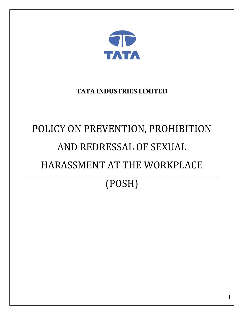

# **TATA INDUSTRIES LIMITED**

# POLICY ON PREVENTION, PROHIBITION AND REDRESSAL OF SEXUAL HARASSMENT AT THE WORKPLACE

# (POSH)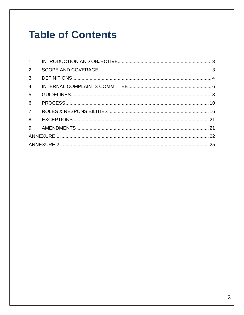# **Table of Contents**

| 2.             |  |
|----------------|--|
| 3 <sub>1</sub> |  |
| 4.             |  |
| 5.             |  |
| 6.             |  |
| 7.             |  |
|                |  |
|                |  |
|                |  |
|                |  |
|                |  |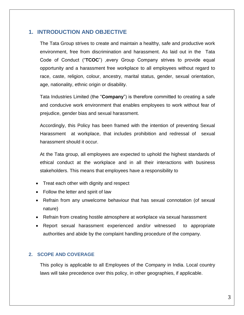#### <span id="page-2-0"></span>**1. INTRODUCTION AND OBJECTIVE**

The Tata Group strives to create and maintain a healthy, safe and productive work environment, free from discrimination and harassment. As laid out in the Tata Code of Conduct ("**TCOC**") ,every Group Company strives to provide equal opportunity and a harassment free workplace to all employees without regard to race, caste, religion, colour, ancestry, marital status, gender, sexual orientation, age, nationality, ethnic origin or disability.

Tata Industries Limited (the "**Company**") is therefore committed to creating a safe and conducive work environment that enables employees to work without fear of prejudice, gender bias and sexual harassment.

Accordingly, this Policy has been framed with the intention of preventing Sexual Harassment at workplace, that includes prohibition and redressal of sexual harassment should it occur.

At the Tata group, all employees are expected to uphold the highest standards of ethical conduct at the workplace and in all their interactions with business stakeholders. This means that employees have a responsibility to

- Treat each other with dignity and respect
- Follow the letter and spirit of law
- Refrain from any unwelcome behaviour that has sexual connotation (of sexual nature)
- Refrain from creating hostile atmosphere at workplace via sexual harassment
- Report sexual harassment experienced and/or witnessed to appropriate authorities and abide by the complaint handling procedure of the company.

#### <span id="page-2-1"></span>**2. SCOPE AND COVERAGE**

This policy is applicable to all Employees of the Company in India. Local country laws will take precedence over this policy, in other geographies, if applicable.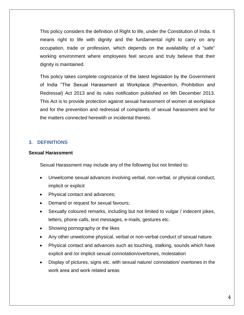This policy considers the definition of Right to life, under the Constitution of India. It means right to life with dignity and the fundamental right to carry on any occupation, trade or profession, which depends on the availability of a "safe" working environment where employees feel secure and truly believe that their dignity is maintained.

This policy takes complete cognizance of the latest legislation by the Government of India "The Sexual Harassment at Workplace (Prevention, Prohibition and Redressal) Act 2013 and its rules notification published on 9th December 2013. This Act is to provide protection against sexual harassment of women at workplace and for the prevention and redressal of complaints of sexual harassment and for the matters connected herewith or incidental thereto.

#### <span id="page-3-0"></span>**3. DEFINITIONS**

#### **Sexual Harassment**

Sexual Harassment may include any of the following but not limited to:

- Unwelcome sexual advances involving verbal, non-verbal, or physical conduct, implicit or explicit
- Physical contact and advances;
- Demand or request for sexual favours;
- Sexually coloured remarks, including but not limited to vulgar / indecent jokes, letters, phone calls, text messages, e-mails, gestures etc.
- Showing pornography or the likes
- Any other unwelcome physical, verbal or non-verbal conduct of sexual nature.
- Physical contact and advances such as touching, stalking, sounds which have explicit and /or implicit sexual connotation/overtones, molestation
- Display of pictures, signs etc. with sexual nature/ connotation/ overtones in the work area and work related areas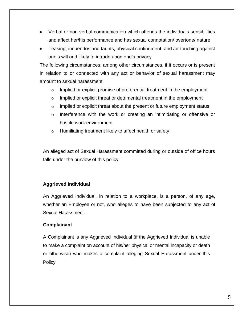- Verbal or non-verbal communication which offends the individuals sensibilities and affect her/his performance and has sexual connotation/ overtone/ nature
- Teasing, innuendos and taunts, physical confinement and /or touching against one's will and likely to intrude upon one's privacy

The following circumstances, among other circumstances, if it occurs or is present in relation to or connected with any act or behavior of sexual harassment may amount to sexual harassment

- o Implied or explicit promise of preferential treatment in the employment
- o Implied or explicit threat or detrimental treatment in the employment
- o Implied or explicit threat about the present or future employment status
- o Interference with the work or creating an intimidating or offensive or hostile work environment
- o Humiliating treatment likely to affect health or safety

An alleged act of Sexual Harassment committed during or outside of office hours falls under the purview of this policy

#### **Aggrieved Individual**

An Aggrieved Individual, in relation to a workplace, is a person, of any age, whether an Employee or not, who alleges to have been subjected to any act of Sexual Harassment.

#### **Complainant**

A Complainant is any Aggrieved Individual (if the Aggrieved Individual is unable to make a complaint on account of his/her physical or mental incapacity or death or otherwise) who makes a complaint alleging Sexual Harassment under this Policy.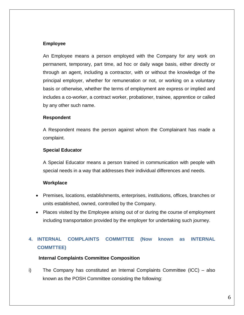#### **Employee**

An Employee means a person employed with the Company for any work on permanent, temporary, part time, ad hoc or daily wage basis, either directly or through an agent, including a contractor, with or without the knowledge of the principal employer, whether for remuneration or not, or working on a voluntary basis or otherwise, whether the terms of employment are express or implied and includes a co-worker, a contract worker, probationer, trainee, apprentice or called by any other such name.

#### **Respondent**

A Respondent means the person against whom the Complainant has made a complaint.

#### **Special Educator**

A Special Educator means a person trained in communication with people with special needs in a way that addresses their individual differences and needs.

#### **Workplace**

- Premises, locations, establishments, enterprises, institutions, offices, branches or units established, owned, controlled by the Company.
- Places visited by the Employee arising out of or during the course of employment including transportation provided by the employer for undertaking such journey.

### <span id="page-5-0"></span>**4. INTERNAL COMPLAINTS COMMITTEE (Now known as INTERNAL COMMTTEE)**

#### **Internal Complaints Committee Composition**

i) The Company has constituted an Internal Complaints Committee (ICC) – also known as the POSH Committee consisting the following: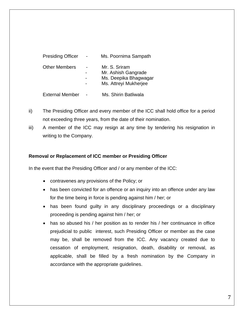| <b>Presiding Officer</b> | Ms. Poornima Sampath                                                                   |
|--------------------------|----------------------------------------------------------------------------------------|
| <b>Other Members</b>     | Mr. S. Sriram<br>Mr. Ashish Gangrade<br>Ms. Deepika Bhagwagar<br>Ms. Attreyi Mukherjee |
| <b>External Member</b>   | Ms. Shirin Batliwala                                                                   |

- ii) The Presiding Officer and every member of the ICC shall hold office for a period not exceeding three years, from the date of their nomination.
- iii) A member of the ICC may resign at any time by tendering his resignation in writing to the Company.

#### **Removal or Replacement of ICC member or Presiding Officer**

In the event that the Presiding Officer and / or any member of the ICC:

- contravenes any provisions of the Policy; or
- has been convicted for an offence or an inquiry into an offence under any law for the time being in force is pending against him / her; or
- has been found guilty in any disciplinary proceedings or a disciplinary proceeding is pending against him / her; or
- has so abused his / her position as to render his / her continuance in office prejudicial to public interest, such Presiding Officer or member as the case may be, shall be removed from the ICC. Any vacancy created due to cessation of employment, resignation, death, disability or removal, as applicable, shall be filled by a fresh nomination by the Company in accordance with the appropriate guidelines.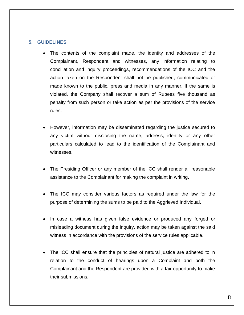#### <span id="page-7-0"></span>**5. GUIDELINES**

- The contents of the complaint made, the identity and addresses of the Complainant, Respondent and witnesses, any information relating to conciliation and inquiry proceedings, recommendations of the ICC and the action taken on the Respondent shall not be published, communicated or made known to the public, press and media in any manner. If the same is violated, the Company shall recover a sum of Rupees five thousand as penalty from such person or take action as per the provisions of the service rules.
- However, information may be disseminated regarding the justice secured to any victim without disclosing the name, address, identity or any other particulars calculated to lead to the identification of the Complainant and witnesses.
- The Presiding Officer or any member of the ICC shall render all reasonable assistance to the Complainant for making the complaint in writing.
- The ICC may consider various factors as required under the law for the purpose of determining the sums to be paid to the Aggrieved Individual,
- In case a witness has given false evidence or produced any forged or misleading document during the inquiry, action may be taken against the said witness in accordance with the provisions of the service rules applicable.
- The ICC shall ensure that the principles of natural justice are adhered to in relation to the conduct of hearings upon a Complaint and both the Complainant and the Respondent are provided with a fair opportunity to make their submissions.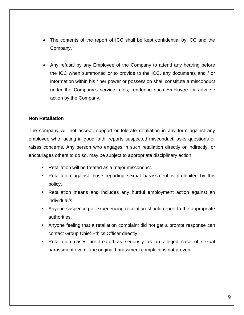- The contents of the report of ICC shall be kept confidential by ICC and the Company.
- Any refusal by any Employee of the Company to attend any hearing before the ICC when summoned or to provide to the ICC, any documents and / or information within his / her power or possession shall constitute a misconduct under the Company's service rules, rendering such Employee for adverse action by the Company.

#### **Non Retaliation**

The company will not accept, support or tolerate retaliation in any form against any employee who, acting in good faith, reports suspected misconduct, asks questions or raises concerns. Any person who engages in such retaliation directly or indirectly, or encourages others to do so, may be subject to appropriate disciplinary action.

- Retaliation will be treated as a major misconduct.
- Retaliation against those reporting sexual harassment is prohibited by this policy.
- Retaliation means and includes any hurtful employment action against an individual/s.
- Anyone suspecting or experiencing retaliation should report to the appropriate authorities.
- Anyone feeling that a retaliation complaint did not get a prompt response can contact Group Chief Ethics Officer directly.
- Retaliation cases are treated as seriously as an alleged case of sexual harassment even if the original harassment complaint is not proven.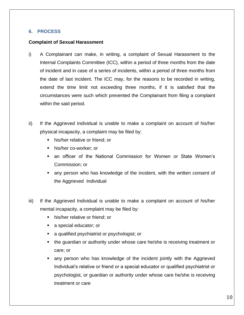#### <span id="page-9-0"></span>**6. PROCESS**

#### **Complaint of Sexual Harassment**

- i) A Complainant can make, in writing, a complaint of Sexual Harassment to the Internal Complaints Committee (ICC), within a period of three months from the date of incident and in case of a series of incidents, within a period of three months from the date of last incident. The ICC may, for the reasons to be recorded in writing, extend the time limit not exceeding three months, if it is satisfied that the circumstances were such which prevented the Complainant from filing a complaint within the said period.
- ii) If the Aggrieved Individual is unable to make a complaint on account of his/her physical incapacity, a complaint may be filed by:
	- his/her relative or friend; or
	- his/her co-worker; or
	- an officer of the National Commission for Women or State Women's Commission; or
	- any person who has knowledge of the incident, with the written consent of the Aggrieved Individual
- iii) If the Aggrieved Individual is unable to make a complaint on account of his/her mental incapacity, a complaint may be filed by:
	- his/her relative or friend; or
	- a special educator; or
	- a qualified psychiatrist or psychologist; or
	- the guardian or authority under whose care he/she is receiving treatment or care; or
	- any person who has knowledge of the incident jointly with the Aggrieved Individual's relative or friend or a special educator or qualified psychiatrist or psychologist, or guardian or authority under whose care he/she is receiving treatment or care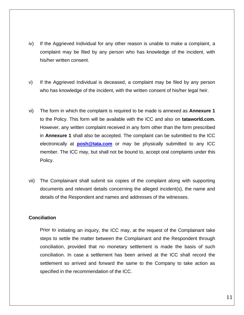- iv) If the Aggrieved Individual for any other reason is unable to make a complaint, a complaint may be filed by any person who has knowledge of the incident, with his/her written consent.
- v) If the Aggrieved Individual is deceased, a complaint may be filed by any person who has knowledge of the incident, with the written consent of his/her legal heir.
- vi) The form in which the complaint is required to be made is annexed as **Annexure 1** to the Policy. This form will be available with the ICC and also on **tataworld.com.**  However, any written complaint received in any form other than the form prescribed in **Annexure 1** shall also be accepted. The complaint can be submitted to the ICC electronically at **[posh@tata.com](mailto:posh@tata.com%20(to)** or may be physically submitted to any ICC member. The ICC may, but shall not be bound to, accept oral complaints under this Policy.
- vii) The Complainant shall submit six copies of the complaint along with supporting documents and relevant details concerning the alleged incident(s), the name and details of the Respondent and names and addresses of the witnesses.

#### **Conciliation**

Prior to initiating an inquiry, the ICC may, at the request of the Complainant take steps to settle the matter between the Complainant and the Respondent through conciliation, provided that no monetary settlement is made the basis of such conciliation. In case a settlement has been arrived at the ICC shall record the settlement so arrived and forward the same to the Company to take action as specified in the recommendation of the ICC.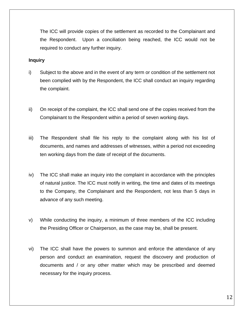The ICC will provide copies of the settlement as recorded to the Complainant and the Respondent. Upon a conciliation being reached, the ICC would not be required to conduct any further inquiry.

#### **Inquiry**

- i) Subject to the above and in the event of any term or condition of the settlement not been complied with by the Respondent, the ICC shall conduct an inquiry regarding the complaint.
- ii) On receipt of the complaint, the ICC shall send one of the copies received from the Complainant to the Respondent within a period of seven working days.
- iii) The Respondent shall file his reply to the complaint along with his list of documents, and names and addresses of witnesses, within a period not exceeding ten working days from the date of receipt of the documents.
- iv) The ICC shall make an inquiry into the complaint in accordance with the principles of natural justice. The ICC must notify in writing, the time and dates of its meetings to the Company, the Complainant and the Respondent, not less than 5 days in advance of any such meeting.
- v) While conducting the inquiry, a minimum of three members of the ICC including the Presiding Officer or Chairperson, as the case may be, shall be present.
- vi) The ICC shall have the powers to summon and enforce the attendance of any person and conduct an examination, request the discovery and production of documents and / or any other matter which may be prescribed and deemed necessary for the inquiry process.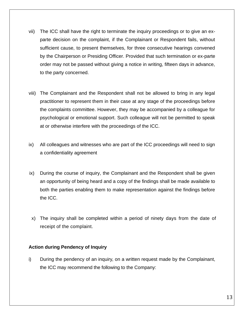- vii) The ICC shall have the right to terminate the inquiry proceedings or to give an exparte decision on the complaint, if the Complainant or Respondent fails, without sufficient cause, to present themselves, for three consecutive hearings convened by the Chairperson or Presiding Officer. Provided that such termination or ex-parte order may not be passed without giving a notice in writing, fifteen days in advance, to the party concerned.
- viii) The Complainant and the Respondent shall not be allowed to bring in any legal practitioner to represent them in their case at any stage of the proceedings before the complaints committee. However, they may be accompanied by a colleague for psychological or emotional support. Such colleague will not be permitted to speak at or otherwise interfere with the proceedings of the ICC.
- ix) All colleagues and witnesses who are part of the ICC proceedings will need to sign a confidentiality agreement
- ix) During the course of inquiry, the Complainant and the Respondent shall be given an opportunity of being heard and a copy of the findings shall be made available to both the parties enabling them to make representation against the findings before the ICC.
- x) The inquiry shall be completed within a period of ninety days from the date of receipt of the complaint.

#### **Action during Pendency of Inquiry**

i) During the pendency of an inquiry, on a written request made by the Complainant, the ICC may recommend the following to the Company: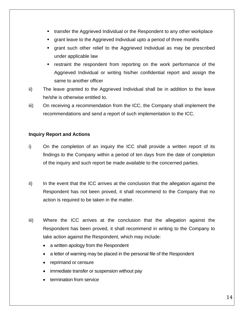- transfer the Aggrieved Individual or the Respondent to any other workplace
- grant leave to the Aggrieved Individual upto a period of three months
- grant such other relief to the Aggrieved Individual as may be prescribed under applicable law
- **EXECT** restraint the respondent from reporting on the work performance of the Aggrieved Individual or writing his/her confidential report and assign the same to another officer
- ii) The leave granted to the Aggrieved Individual shall be in addition to the leave he/she is otherwise entitled to.
- iii) On receiving a recommendation from the ICC, the Company shall implement the recommendations and send a report of such implementation to the ICC.

#### **Inquiry Report and Actions**

- i) On the completion of an inquiry the ICC shall provide a written report of its findings to the Company within a period of ten days from the date of completion of the inquiry and such report be made available to the concerned parties.
- ii) In the event that the ICC arrives at the conclusion that the allegation against the Respondent has not been proved, it shall recommend to the Company that no action is required to be taken in the matter.
- iii) Where the ICC arrives at the conclusion that the allegation against the Respondent has been proved, it shall recommend in writing to the Company to take action against the Respondent, which may include:
	- a written apology from the Respondent
	- a letter of warning may be placed in the personal file of the Respondent
	- reprimand or censure
	- immediate transfer or suspension without pay
	- termination from service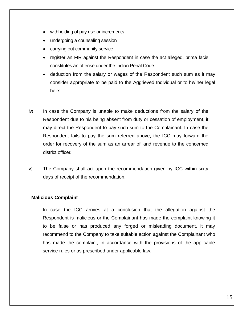- withholding of pay rise or increments
- undergoing a counseling session
- carrying out community service
- register an FIR against the Respondent in case the act alleged, prima facie constitutes an offense under the Indian Penal Code
- deduction from the salary or wages of the Respondent such sum as it may consider appropriate to be paid to the Aggrieved Individual or to his/ her legal heirs
- iv) In case the Company is unable to make deductions from the salary of the Respondent due to his being absent from duty or cessation of employment, it may direct the Respondent to pay such sum to the Complainant. In case the Respondent fails to pay the sum referred above, the ICC may forward the order for recovery of the sum as an arrear of land revenue to the concerned district officer.
- v) The Company shall act upon the recommendation given by ICC within sixty days of receipt of the recommendation.

#### **Malicious Complaint**

In case the ICC arrives at a conclusion that the allegation against the Respondent is malicious or the Complainant has made the complaint knowing it to be false or has produced any forged or misleading document, it may recommend to the Company to take suitable action against the Complainant who has made the complaint, in accordance with the provisions of the applicable service rules or as prescribed under applicable law.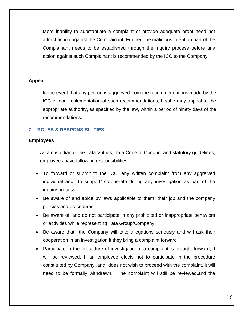Mere inability to substantiate a complaint or provide adequate proof need not attract action against the Complainant. Further, the malicious intent on part of the Complainant needs to be established through the inquiry process before any action against such Complainant is recommended by the ICC to the Company.

#### **Appeal**

In the event that any person is aggrieved from the recommendations made by the ICC or non-implementation of such recommendations, he/she may appeal to the appropriate authority, as specified by the law, within a period of ninety days of the recommendations.

#### <span id="page-15-0"></span>**7. ROLES & RESPONSIBILITIES**

#### **Employees**

As a custodian of the Tata Values, Tata Code of Conduct and statutory guidelines, employees have following responsibilities.

- To forward or submit to the ICC, any written complaint from any aggreived individual and to support/ co-operate during any investigation as part of the inquiry process.
- Be aware of and abide by laws applicable to them, their job and the company policies and procedures.
- Be aware of, and do not participate in any prohibited or inappropriate behaviors or activities while representing Tata Group/Company
- Be aware that the Company will take allegations seriously and will ask their cooperation in an investigation if they bring a complaint forward
- Participate in the procedure of investigation if a complaint is brought forward, it will be reviewed. If an employee elects not to participate in the procedure constituted by Company ,and does not wish to proceed with the complaint, it will need to be formally withdrawn. The complaint will still be reviewed.and the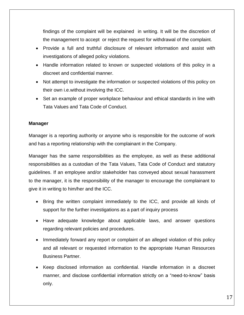findings of the complaint will be explained in writing. It will be the discretion of the management to accept or reject the request for withdrawal of the complaint.

- Provide a full and truthful disclosure of relevant information and assist with investigations of alleged policy violations.
- Handle information related to known or suspected violations of this policy in a discreet and confidential manner.
- Not attempt to investigate the information or suspected violations of this policy on their own i.e.without involving the ICC.
- Set an example of proper workplace behaviour and ethical standards in line with Tata Values and Tata Code of Conduct.

#### **Manager**

Manager is a reporting authority or anyone who is responsible for the outcome of work and has a reporting relationship with the complainant in the Company.

Manager has the same responsibilities as the employee, as well as these additional responsibilities as a custodian of the Tata Values, Tata Code of Conduct and statutory guidelines. If an employee and/or stakeholder has conveyed about sexual harassment to the manager, it is the responsibility of the manager to encourage the complainant to give it in writing to him/her and the ICC.

- Bring the written complaint immediately to the ICC, and provide all kinds of support for the further investigations as a part of inquiry process
- Have adequate knowledge about applicable laws, and answer questions regarding relevant policies and procedures.
- Immediately forward any report or complaint of an alleged violation of this policy and all relevant or requested information to the appropriate Human Resources Business Partner.
- Keep disclosed information as confidential. Handle information in a discreet manner, and disclose confidential information strictly on a "need-to-know" basis only.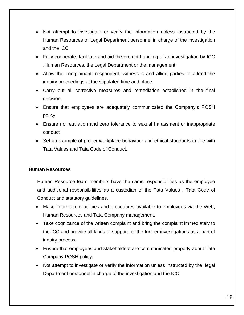- Not attempt to investigate or verify the information unless instructed by the Human Resources or Legal Department personnel in charge of the investigation and the ICC
- Fully cooperate, facilitate and aid the prompt handling of an investigation by ICC ,Human Resources, the Legal Department or the management.
- Allow the complainant, respondent, witnesses and allied parties to attend the inquiry proceedings at the stipulated time and place.
- Carry out all corrective measures and remediation established in the final decision.
- Ensure that employees are adequately communicated the Company's POSH policy
- Ensure no retaliation and zero tolerance to sexual harassment or inappropriate conduct
- Set an example of proper workplace behaviour and ethical standards in line with Tata Values and Tata Code of Conduct.

#### **Human Resources**

Human Resource team members have the same responsibilities as the employee and additional responsibilities as a custodian of the Tata Values , Tata Code of Conduct and statutory guidelines.

- Make information, policies and procedures available to employees via the Web, Human Resources and Tata Company management.
- Take cognizance of the written complaint and bring the complaint immediately to the ICC and provide all kinds of support for the further investigations as a part of inquiry process.
- Ensure that employees and stakeholders are communicated properly about Tata Company POSH policy.
- Not attempt to investigate or verify the information unless instructed by the legal Department personnel in charge of the investigation and the ICC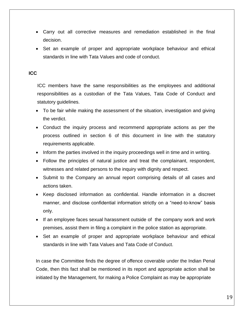- Carry out all corrective measures and remediation established in the final decision.
- Set an example of proper and appropriate workplace behaviour and ethical standards in line with Tata Values and code of conduct.

#### **ICC**

ICC members have the same responsibilities as the employees and additional responsibilities as a custodian of the Tata Values, Tata Code of Conduct and statutory guidelines.

- To be fair while making the assessment of the situation, investigation and giving the verdict.
- Conduct the inquiry process and recommend appropriate actions as per the process outlined in section 6 of this document in line with the statutory requirements applicable.
- Inform the parties involved in the inquiry proceedings well in time and in writing.
- Follow the principles of natural justice and treat the complainant, respondent, witnesses and related persons to the inquiry with dignity and respect.
- Submit to the Company an annual report comprising details of all cases and actions taken.
- Keep disclosed information as confidential. Handle information in a discreet manner, and disclose confidential information strictly on a "need-to-know" basis only.
- If an employee faces sexual harassment outside of the company work and work premises, assist them in filing a complaint in the police station as appropriate.
- Set an example of proper and appropriate workplace behaviour and ethical standards in line with Tata Values and Tata Code of Conduct.

In case the Committee finds the degree of offence coverable under the Indian Penal Code, then this fact shall be mentioned in its report and appropriate action shall be initiated by the Management, for making a Police Complaint as may be appropriate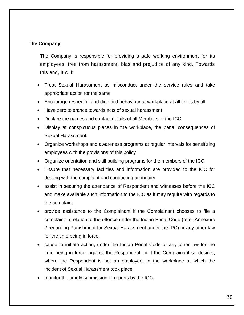#### **The Company**

The Company is responsible for providing a safe working environment for its employees, free from harassment, bias and prejudice of any kind. Towards this end, it will:

- Treat Sexual Harassment as misconduct under the service rules and take appropriate action for the same
- Encourage respectful and dignified behaviour at workplace at all times by all
- Have zero tolerance towards acts of sexual harassment
- Declare the names and contact details of all Members of the ICC
- Display at conspicuous places in the workplace, the penal consequences of Sexual Harassment.
- Organize workshops and awareness programs at regular intervals for sensitizing employees with the provisions of this policy
- Organize orientation and skill building programs for the members of the ICC.
- Ensure that necessary facilities and information are provided to the ICC for dealing with the complaint and conducting an inquiry.
- assist in securing the attendance of Respondent and witnesses before the ICC and make available such information to the ICC as it may require with regards to the complaint.
- provide assistance to the Complainant if the Complainant chooses to file a complaint in relation to the offence under the Indian Penal Code (refer Annexure 2 regarding Punishment for Sexual Harassment under the IPC) or any other law for the time being in force.
- cause to initiate action, under the Indian Penal Code or any other law for the time being in force, against the Respondent, or if the Complainant so desires, where the Respondent is not an employee, in the workplace at which the incident of Sexual Harassment took place.
- monitor the timely submission of reports by the ICC.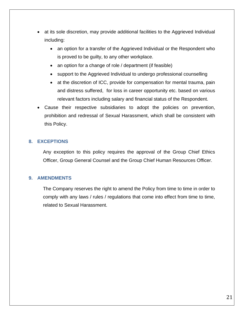- at its sole discretion, may provide additional facilities to the Aggrieved Individual including:
	- an option for a transfer of the Aggrieved Individual or the Respondent who is proved to be guilty, to any other workplace.
	- an option for a change of role / department (if feasible)
	- support to the Aggrieved Individual to undergo professional counselling
	- at the discretion of ICC, provide for compensation for mental trauma, pain and distress suffered, for loss in career opportunity etc. based on various relevant factors including salary and financial status of the Respondent.
- Cause their respective subsidiaries to adopt the policies on prevention, prohibition and redressal of Sexual Harassment, which shall be consistent with this Policy.

#### <span id="page-20-0"></span>**8. EXCEPTIONS**

Any exception to this policy requires the approval of the Group Chief Ethics Officer, Group General Counsel and the Group Chief Human Resources Officer.

#### <span id="page-20-1"></span>**9. AMENDMENTS**

<span id="page-20-2"></span>The Company reserves the right to amend the Policy from time to time in order to comply with any laws / rules / regulations that come into effect from time to time, related to Sexual Harassment.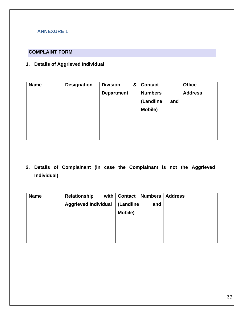#### **ANNEXURE 1**

#### **COMPLAINT FORM**

### **1. Details of Aggrieved Individual**

| <b>Name</b> | <b>Designation</b> | <b>Division</b><br><b>Department</b> | & | <b>Contact</b><br><b>Numbers</b> | <b>Office</b><br><b>Address</b> |
|-------------|--------------------|--------------------------------------|---|----------------------------------|---------------------------------|
|             |                    |                                      |   | (Landline<br>and<br>Mobile)      |                                 |
|             |                    |                                      |   |                                  |                                 |

**2. Details of Complainant (in case the Complainant is not the Aggrieved Individual)**

| <b>Name</b> | <b>Relationship</b>         | with   Contact Numbers | <b>Address</b> |
|-------------|-----------------------------|------------------------|----------------|
|             | <b>Aggrieved Individual</b> | (Landline<br>and       |                |
|             |                             | <b>Mobile)</b>         |                |
|             |                             |                        |                |
|             |                             |                        |                |
|             |                             |                        |                |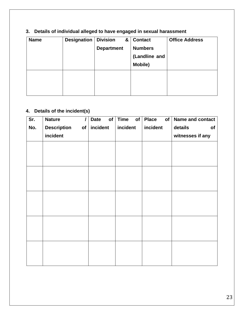# **3. Details of individual alleged to have engaged in sexual harassment**

| <b>Name</b> | <b>Designation</b> | <b>Division</b>   | 8 <sub>l</sub> | <b>Contact</b> | <b>Office Address</b> |
|-------------|--------------------|-------------------|----------------|----------------|-----------------------|
|             |                    | <b>Department</b> |                | <b>Numbers</b> |                       |
|             |                    |                   |                | (Landline and  |                       |
|             |                    |                   |                | Mobile)        |                       |
|             |                    |                   |                |                |                       |
|             |                    |                   |                |                |                       |
|             |                    |                   |                |                |                       |

# **4. Details of the incident(s)**

| Sr. | <b>Nature</b>            | of<br><b>Date</b> | <b>Time</b><br>of | <b>Place</b><br>of | Name and contact |
|-----|--------------------------|-------------------|-------------------|--------------------|------------------|
| No. | <b>Description</b><br>of | incident          | incident          | incident           | details<br>of    |
|     | incident                 |                   |                   |                    | witnesses if any |
|     |                          |                   |                   |                    |                  |
|     |                          |                   |                   |                    |                  |
|     |                          |                   |                   |                    |                  |
|     |                          |                   |                   |                    |                  |
|     |                          |                   |                   |                    |                  |
|     |                          |                   |                   |                    |                  |
|     |                          |                   |                   |                    |                  |
|     |                          |                   |                   |                    |                  |
|     |                          |                   |                   |                    |                  |
|     |                          |                   |                   |                    |                  |
|     |                          |                   |                   |                    |                  |
|     |                          |                   |                   |                    |                  |
|     |                          |                   |                   |                    |                  |
|     |                          |                   |                   |                    |                  |
|     |                          |                   |                   |                    |                  |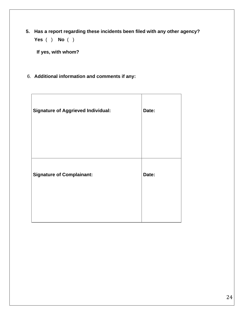**5. Has a report regarding these incidents been filed with any other agency? Yes** ( ) **No** ( )

 **If yes, with whom?**

6. **Additional information and comments if any:**

<span id="page-23-0"></span>

| <b>Signature of Aggrieved Individual:</b> | Date: |
|-------------------------------------------|-------|
| <b>Signature of Complainant:</b>          | Date: |
|                                           |       |